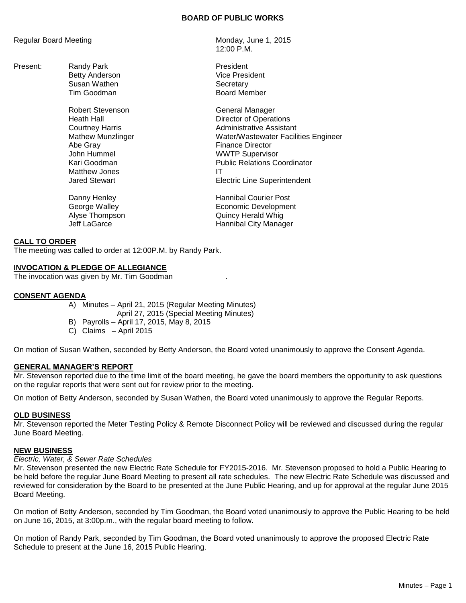## **BOARD OF PUBLIC WORKS**

Regular Board Meeting Monday, June 1, 2015

Present: Randy Park **President** Susan Wathen Susan Wathen Susan Wathen Secretary

> Robert Stevenson General Manager Abe Gray **Finance Director** John Hummel **WWTP** Supervisor Matthew Jones IT

12:00 P.M.

Betty Anderson **Vice President** Tim Goodman **Board Member** 

Heath Hall Director of Operations Courtney Harris **Administrative Assistant** Mathew Munzlinger Water/Wastewater Facilities Engineer Kari Goodman **Public Relations Coordinator Electric Line Superintendent** 

Danny Henley **Hannibal Courier Post** George Walley **Example 20** Economic Development Alyse Thompson **Quincy Herald Whig** Jeff LaGarce **Hannibal City Manager** 

## **CALL TO ORDER**

The meeting was called to order at 12:00P.M. by Randy Park.

## **INVOCATION & PLEDGE OF ALLEGIANCE**

The invocation was given by Mr. Tim Goodman .

## **CONSENT AGENDA**

- A) Minutes April 21, 2015 (Regular Meeting Minutes)
	- April 27, 2015 (Special Meeting Minutes)
- B) Payrolls April 17, 2015, May 8, 2015
- C) Claims April 2015

On motion of Susan Wathen, seconded by Betty Anderson, the Board voted unanimously to approve the Consent Agenda.

#### **GENERAL MANAGER'S REPORT**

Mr. Stevenson reported due to the time limit of the board meeting, he gave the board members the opportunity to ask questions on the regular reports that were sent out for review prior to the meeting.

On motion of Betty Anderson, seconded by Susan Wathen, the Board voted unanimously to approve the Regular Reports.

#### **OLD BUSINESS**

Mr. Stevenson reported the Meter Testing Policy & Remote Disconnect Policy will be reviewed and discussed during the regular June Board Meeting.

## **NEW BUSINESS**

#### *Electric, Water, & Sewer Rate Schedules*

Mr. Stevenson presented the new Electric Rate Schedule for FY2015-2016. Mr. Stevenson proposed to hold a Public Hearing to be held before the regular June Board Meeting to present all rate schedules. The new Electric Rate Schedule was discussed and reviewed for consideration by the Board to be presented at the June Public Hearing, and up for approval at the regular June 2015 Board Meeting.

On motion of Betty Anderson, seconded by Tim Goodman, the Board voted unanimously to approve the Public Hearing to be held on June 16, 2015, at 3:00p.m., with the regular board meeting to follow.

On motion of Randy Park, seconded by Tim Goodman, the Board voted unanimously to approve the proposed Electric Rate Schedule to present at the June 16, 2015 Public Hearing.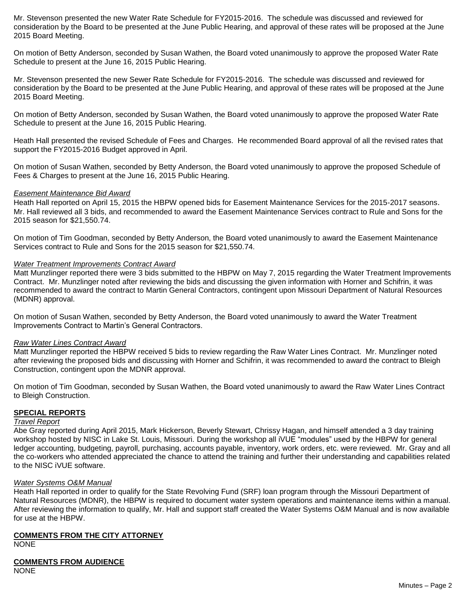Mr. Stevenson presented the new Water Rate Schedule for FY2015-2016. The schedule was discussed and reviewed for consideration by the Board to be presented at the June Public Hearing, and approval of these rates will be proposed at the June 2015 Board Meeting.

On motion of Betty Anderson, seconded by Susan Wathen, the Board voted unanimously to approve the proposed Water Rate Schedule to present at the June 16, 2015 Public Hearing.

Mr. Stevenson presented the new Sewer Rate Schedule for FY2015-2016. The schedule was discussed and reviewed for consideration by the Board to be presented at the June Public Hearing, and approval of these rates will be proposed at the June 2015 Board Meeting.

On motion of Betty Anderson, seconded by Susan Wathen, the Board voted unanimously to approve the proposed Water Rate Schedule to present at the June 16, 2015 Public Hearing.

Heath Hall presented the revised Schedule of Fees and Charges. He recommended Board approval of all the revised rates that support the FY2015-2016 Budget approved in April.

On motion of Susan Wathen, seconded by Betty Anderson, the Board voted unanimously to approve the proposed Schedule of Fees & Charges to present at the June 16, 2015 Public Hearing.

## *Easement Maintenance Bid Award*

Heath Hall reported on April 15, 2015 the HBPW opened bids for Easement Maintenance Services for the 2015-2017 seasons. Mr. Hall reviewed all 3 bids, and recommended to award the Easement Maintenance Services contract to Rule and Sons for the 2015 season for \$21,550.74.

On motion of Tim Goodman, seconded by Betty Anderson, the Board voted unanimously to award the Easement Maintenance Services contract to Rule and Sons for the 2015 season for \$21,550.74.

## *Water Treatment Improvements Contract Award*

Matt Munzlinger reported there were 3 bids submitted to the HBPW on May 7, 2015 regarding the Water Treatment Improvements Contract. Mr. Munzlinger noted after reviewing the bids and discussing the given information with Horner and Schifrin, it was recommended to award the contract to Martin General Contractors, contingent upon Missouri Department of Natural Resources (MDNR) approval.

On motion of Susan Wathen, seconded by Betty Anderson, the Board voted unanimously to award the Water Treatment Improvements Contract to Martin's General Contractors.

#### *Raw Water Lines Contract Award*

Matt Munzlinger reported the HBPW received 5 bids to review regarding the Raw Water Lines Contract. Mr. Munzlinger noted after reviewing the proposed bids and discussing with Horner and Schifrin, it was recommended to award the contract to Bleigh Construction, contingent upon the MDNR approval.

On motion of Tim Goodman, seconded by Susan Wathen, the Board voted unanimously to award the Raw Water Lines Contract to Bleigh Construction.

#### **SPECIAL REPORTS**

#### *Travel Report*

Abe Gray reported during April 2015, Mark Hickerson, Beverly Stewart, Chrissy Hagan, and himself attended a 3 day training workshop hosted by NISC in Lake St. Louis, Missouri. During the workshop all iVUE "modules" used by the HBPW for general ledger accounting, budgeting, payroll, purchasing, accounts payable, inventory, work orders, etc. were reviewed. Mr. Gray and all the co-workers who attended appreciated the chance to attend the training and further their understanding and capabilities related to the NISC iVUE software.

#### *Water Systems O&M Manual*

Heath Hall reported in order to qualify for the State Revolving Fund (SRF) loan program through the Missouri Department of Natural Resources (MDNR), the HBPW is required to document water system operations and maintenance items within a manual. After reviewing the information to qualify, Mr. Hall and support staff created the Water Systems O&M Manual and is now available for use at the HBPW.

### **COMMENTS FROM THE CITY ATTORNEY**

NONE

# **COMMENTS FROM AUDIENCE**

NONE